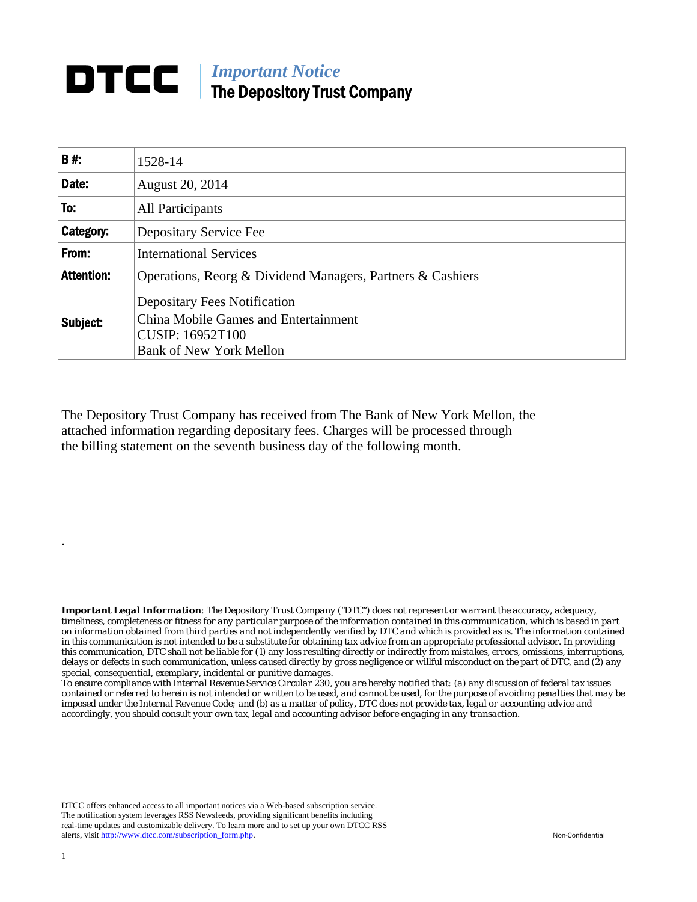## **DTCC** | *Important Notice* The Depository Trust Company

| B#:               | 1528-14                                                                                                                                         |  |
|-------------------|-------------------------------------------------------------------------------------------------------------------------------------------------|--|
| Date:             | August 20, 2014                                                                                                                                 |  |
| To:               | All Participants                                                                                                                                |  |
| Category:         | Depositary Service Fee                                                                                                                          |  |
| From:             | <b>International Services</b>                                                                                                                   |  |
| <b>Attention:</b> | Operations, Reorg & Dividend Managers, Partners & Cashiers                                                                                      |  |
| Subject:          | <b>Depositary Fees Notification</b><br><b>China Mobile Games and Entertainment</b><br><b>CUSIP: 16952T100</b><br><b>Bank of New York Mellon</b> |  |

The Depository Trust Company has received from The Bank of New York Mellon, the attached information regarding depositary fees. Charges will be processed through the billing statement on the seventh business day of the following month.

*Important Legal Information: The Depository Trust Company ("DTC") does not represent or warrant the accuracy, adequacy, timeliness, completeness or fitness for any particular purpose of the information contained in this communication, which is based in part on information obtained from third parties and not independently verified by DTC and which is provided as is. The information contained in this communication is not intended to be a substitute for obtaining tax advice from an appropriate professional advisor. In providing this communication, DTC shall not be liable for (1) any loss resulting directly or indirectly from mistakes, errors, omissions, interruptions, delays or defects in such communication, unless caused directly by gross negligence or willful misconduct on the part of DTC, and (2) any special, consequential, exemplary, incidental or punitive damages.* 

*To ensure compliance with Internal Revenue Service Circular 230, you are hereby notified that: (a) any discussion of federal tax issues contained or referred to herein is not intended or written to be used, and cannot be used, for the purpose of avoiding penalties that may be imposed under the Internal Revenue Code; and (b) as a matter of policy, DTC does not provide tax, legal or accounting advice and accordingly, you should consult your own tax, legal and accounting advisor before engaging in any transaction.*

DTCC offers enhanced access to all important notices via a Web-based subscription service. The notification system leverages RSS Newsfeeds, providing significant benefits including real-time updates and customizable delivery. To learn more and to set up your own DTCC RSS alerts, visit http://www.dtcc.com/subscription\_form.php. Non-Confidential

.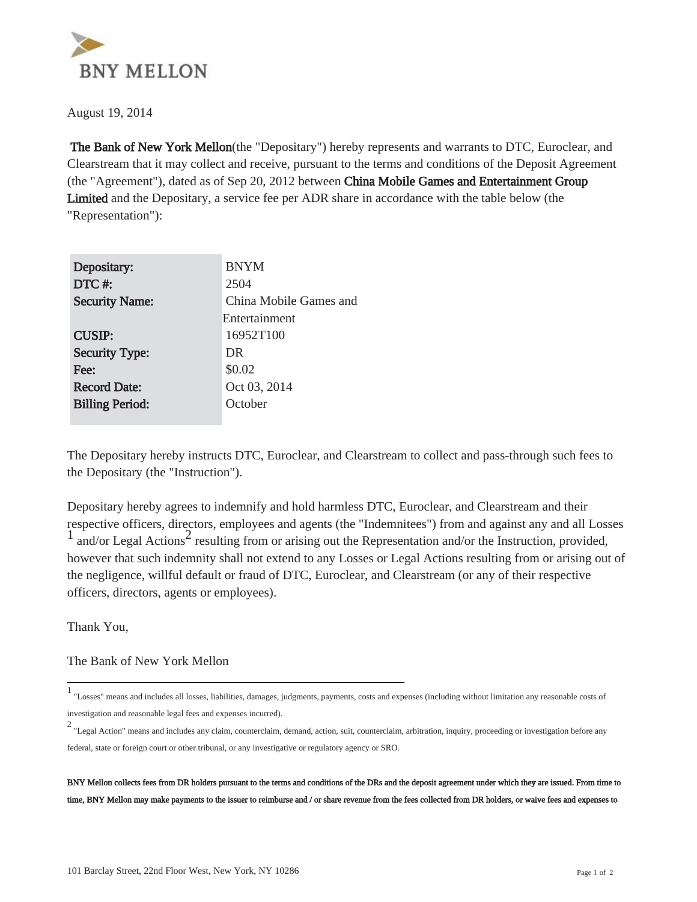

August 19, 2014

 The Bank of New York Mellon(the "Depositary") hereby represents and warrants to DTC, Euroclear, and Clearstream that it may collect and receive, pursuant to the terms and conditions of the Deposit Agreement (the "Agreement"), dated as of Sep 20, 2012 between China Mobile Games and Entertainment Group Limited and the Depositary, a service fee per ADR share in accordance with the table below (the "Representation"):

| Depositary:            | <b>BNYM</b>            |
|------------------------|------------------------|
| DTC#:                  | 2504                   |
| <b>Security Name:</b>  | China Mobile Games and |
|                        | Entertainment          |
| <b>CUSIP:</b>          | 16952T100              |
| <b>Security Type:</b>  | DR                     |
| Fee:                   | \$0.02                 |
| <b>Record Date:</b>    | Oct 03, 2014           |
| <b>Billing Period:</b> | October                |
|                        |                        |

The Depositary hereby instructs DTC, Euroclear, and Clearstream to collect and pass-through such fees to the Depositary (the "Instruction").

Depositary hereby agrees to indemnify and hold harmless DTC, Euroclear, and Clearstream and their respective officers, directors, employees and agents (the "Indemnitees") from and against any and all Losses  $\frac{1}{1}$  and/or Legal Actions<sup>2</sup> resulting from or arising out the Representation and/or the Instruction, provided, however that such indemnity shall not extend to any Losses or Legal Actions resulting from or arising out of the negligence, willful default or fraud of DTC, Euroclear, and Clearstream (or any of their respective officers, directors, agents or employees).

Thank You,

## The Bank of New York Mellon

BNY Mellon collects fees from DR holders pursuant to the terms and conditions of the DRs and the deposit agreement under which they are issued. From time to time, BNY Mellon may make payments to the issuer to reimburse and / or share revenue from the fees collected from DR holders, or waive fees and expenses to

<sup>&</sup>lt;sup>1</sup> "Losses" means and includes all losses, liabilities, damages, judgments, payments, costs and expenses (including without limitation any reasonable costs of investigation and reasonable legal fees and expenses incurred).

<sup>&</sup>lt;sup>2</sup> "Legal Action" means and includes any claim, counterclaim, demand, action, suit, counterclaim, arbitration, inquiry, proceeding or investigation before any federal, state or foreign court or other tribunal, or any investigative or regulatory agency or SRO.